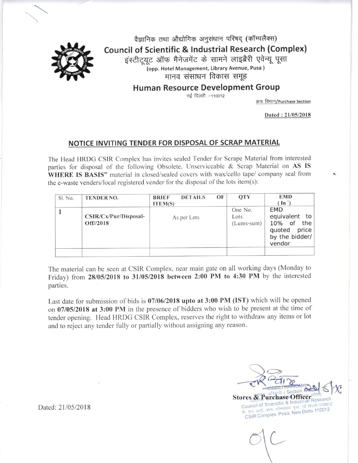

वैज्ञानिक तथा औद्योगिक अनुसंधान परिषद (कॉम्पलैक्स) **Council of Scientific & Industrial Research (Complex)** इंस्टीटयूट ऑफ मैनेजमेंट के सामने लाइब्रैरी एवेन्यू पूसा (opp. Hotel Management, Library Avenue, Pusa) मानव संसाधन विकास समूह

Human Resource Development Group

नई दिल्ली -110012

क्रय विभाग/Purchase Section

Dated: 21/05/2018

## NOTICE INVITING TENDER FOR DISPOSAL OF SCRAP MATERIAL

The Head HRDG CSIR Complex has invites sealed Tender for Scrape Material from interested parties for disposal of the following Obsolete, Unserviceable & Scrap Material on AS IS WHERE IS BASIS" material in closed/sealed covers with wax/cello tape/ company seal from the e-waste venders/local registered vender for the disposal of the lots item(s):

| Sl. No. | <b>TENDERNO.</b>                               | OF<br><b>DETAILS</b><br><b>BRIEF</b><br><b>ITEM(S)</b> | <b>OTY</b>                      | <b>EMD</b><br>$(\ln')$                                                                      |
|---------|------------------------------------------------|--------------------------------------------------------|---------------------------------|---------------------------------------------------------------------------------------------|
|         | $CSIR/Cx/Pur/Disposal-$<br>$Off\frac{1}{2018}$ | As per Lots                                            | One No.<br>Lots<br>$(Lums-sum)$ | <b>EMD</b><br>equivalent to<br>10% of<br>the<br>quoted<br>price<br>by the bidder/<br>vendor |
|         |                                                |                                                        |                                 |                                                                                             |

The material can be seen at CSIR Complex, near main gate on all working days (Monday to Friday) from 28/05/2018 to 31/05/2018 between 2:00 PM to 4:30 PM by the interested parties.

Last date for submission of bids is 07/06/2018 upto at 3:00 PM (IST) which will be opened on 07/05/2018 at 3:00 PM in the presence of bidders who wish to be present at the time of tender opening. Head HRDG CSIR Complex, reserves the right to withdraw any items or lot and to reject any tender fully or partially without assigning any reason.

Stores & Purchase OfficerTResearch Council of Scientific & Industr

सी. एस. आई. आर. कॉम्पलेक्स. पूसा. नई दिल्ली-110012 CSIR Complex, Pusa, New Delhi-110012

Dated: 21/05/2018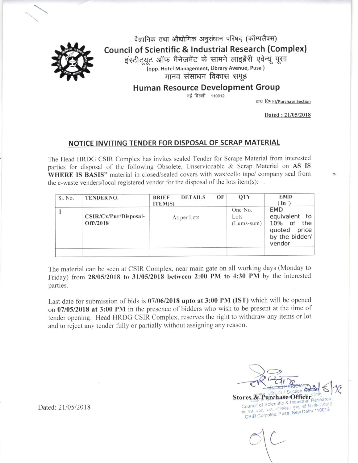- 1. The Tender should be submitted in the sealed covers. Open tender will be rejected.
- 2. The materials offered for disposal is on AS IS WHERE IS BASIS Ex go down in unpacked condition. Taxes & Duties that may be levied by the Govt. will be extra as applicable.

 $24,$ 

the control of the control of the control of the control of the control of the control of the control of the control of the control of the control of the control of the control of the control of the control of the control

## 3. Receiving and Opening of bids:-

- 3.1 Last date and time of submission of quotation: upto 07<sup>th</sup> June 2018 at 3:00PM
- 3.2. Date and Time of opening of Bid: at 3:00 PM on 07" June 2018.
- 3.3 The Tender received after submission date and time shall not be considered at all.
- 4. The purchaser may inspect the materials on any working day from  $28/05/2018$  to  $31/05/2018$ between 2:00 PM to 4:30 PM by taking prior appointment to satisfy themselves about the quality and condition of the material offered. No complaints what so ever will be entertained after the tenders are submitted or before or after the materials are lifted No request for samples or inspection after submission of the tender will be accepted.
- 5. The Tenders addressed to the Section Officer (S&P)/SPO, Purchase Section, CSIR Complex, PUSA, New Delhi -12 subscribed with Tender No. Last Date & Time of Receipt, Date & Time for Opening the Tenders & Disposal of unserviceable stores", must be submitted in one sealed envelope separately against the lot as per the enclosed bid Performa either on your letter head or on our Performa along with your covering letter before the last date & time for submission of Tenders mentioned at Serial No. 3.
- 6. In case for submission of bid personally the bid should be dropped in TENDER BOX. Before closing date & time as per serial No. 3.1, which is available at Purchase Section CSIR Complex,. In case, the parties are interested to submit their quotation by Registered Post/Courier then the same should reach CSIR Complex, PUSA New Delhi before the closing date and time. CSIR complex will not be responsible for receiving the late quotations due to postal delay or any other reason. The same will be returned in original un-opened condition to the Party.
- 7. Tenderer should clearly quote their rates Per Lot as asked for both in figures and in words exclusive of any taxes and duties. Any overwriting in rates or any change and /or alteration without attestation is liable to culminate in the outright rejection of the tender.
- 8. Tenders should be valid for a period of 30 (thirty) days from the date of opening of the tenders.
- 9. EMD equivalent to 10% of the quoted price by the bidder/vendor , bids in the shape of Banker's Cheque or DD drawn in favour of Under Secretary, CSIR Complex Pusa, New Delhi -110012, the amount quoted is to accompany the bids in the shape of bankers Cheque / Demand Draft